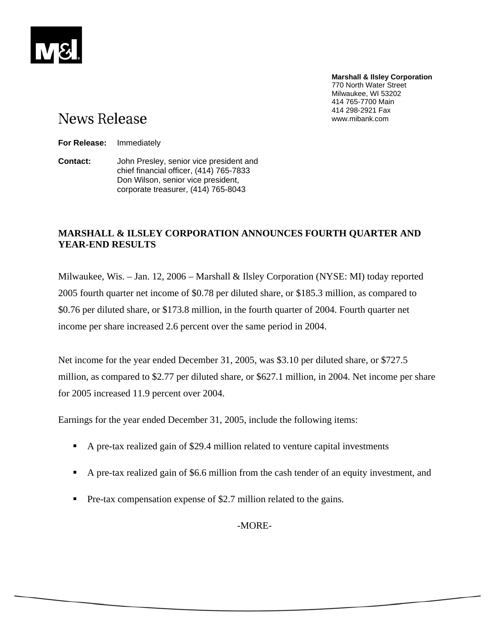**Marshall & Ilsley Corporation** 770 North Water Street Milwaukee, WI 53202 414 765-7700 Main 414 298-2921 Fax www.mibank.com

# **News Release**

**For Release:** Immediately

**Contact:** John Presley, senior vice president and chief financial officer, (414) 765-7833 Don Wilson, senior vice president, corporate treasurer, (414) 765-8043

# **MARSHALL & ILSLEY CORPORATION ANNOUNCES FOURTH QUARTER AND YEAR-END RESULTS**

Milwaukee, Wis. – Jan. 12, 2006 – Marshall & Ilsley Corporation (NYSE: MI) today reported 2005 fourth quarter net income of \$0.78 per diluted share, or \$185.3 million, as compared to \$0.76 per diluted share, or \$173.8 million, in the fourth quarter of 2004. Fourth quarter net income per share increased 2.6 percent over the same period in 2004.

Net income for the year ended December 31, 2005, was \$3.10 per diluted share, or \$727.5 million, as compared to \$2.77 per diluted share, or \$627.1 million, in 2004. Net income per share for 2005 increased 11.9 percent over 2004.

Earnings for the year ended December 31, 2005, include the following items:

- A pre-tax realized gain of \$29.4 million related to venture capital investments
- A pre-tax realized gain of \$6.6 million from the cash tender of an equity investment, and
- Pre-tax compensation expense of \$2.7 million related to the gains.

-MORE-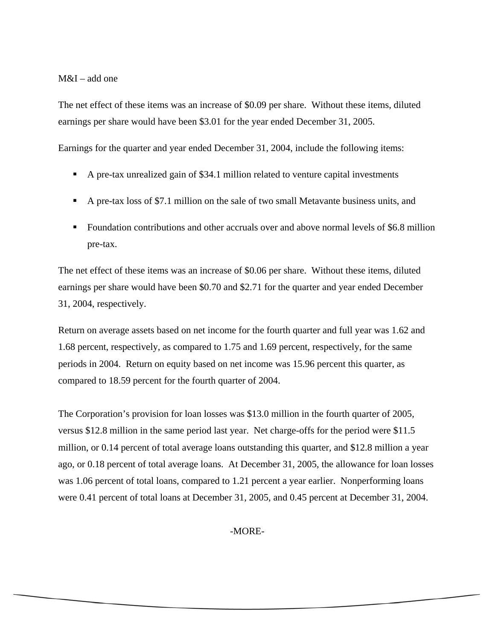M&I – add one

The net effect of these items was an increase of \$0.09 per share. Without these items, diluted earnings per share would have been \$3.01 for the year ended December 31, 2005.

Earnings for the quarter and year ended December 31, 2004, include the following items:

- A pre-tax unrealized gain of \$34.1 million related to venture capital investments
- A pre-tax loss of \$7.1 million on the sale of two small Metavante business units, and
- Foundation contributions and other accruals over and above normal levels of \$6.8 million pre-tax.

The net effect of these items was an increase of \$0.06 per share. Without these items, diluted earnings per share would have been \$0.70 and \$2.71 for the quarter and year ended December 31, 2004, respectively.

Return on average assets based on net income for the fourth quarter and full year was 1.62 and 1.68 percent, respectively, as compared to 1.75 and 1.69 percent, respectively, for the same periods in 2004. Return on equity based on net income was 15.96 percent this quarter, as compared to 18.59 percent for the fourth quarter of 2004.

The Corporation's provision for loan losses was \$13.0 million in the fourth quarter of 2005, versus \$12.8 million in the same period last year. Net charge-offs for the period were \$11.5 million, or 0.14 percent of total average loans outstanding this quarter, and \$12.8 million a year ago, or 0.18 percent of total average loans. At December 31, 2005, the allowance for loan losses was 1.06 percent of total loans, compared to 1.21 percent a year earlier. Nonperforming loans were 0.41 percent of total loans at December 31, 2005, and 0.45 percent at December 31, 2004.

-MORE-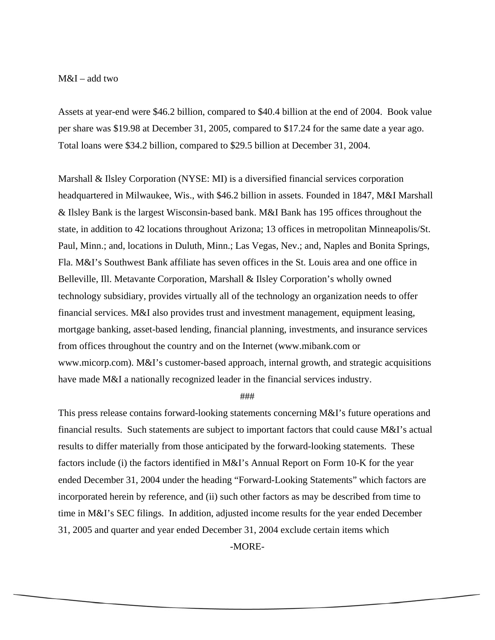## M&I – add two

Assets at year-end were \$46.2 billion, compared to \$40.4 billion at the end of 2004. Book value per share was \$19.98 at December 31, 2005, compared to \$17.24 for the same date a year ago. Total loans were \$34.2 billion, compared to \$29.5 billion at December 31, 2004.

Marshall & Ilsley Corporation (NYSE: MI) is a diversified financial services corporation headquartered in Milwaukee, Wis., with \$46.2 billion in assets. Founded in 1847, M&I Marshall & Ilsley Bank is the largest Wisconsin-based bank. M&I Bank has 195 offices throughout the state, in addition to 42 locations throughout Arizona; 13 offices in metropolitan Minneapolis/St. Paul, Minn.; and, locations in Duluth, Minn.; Las Vegas, Nev.; and, Naples and Bonita Springs, Fla. M&I's Southwest Bank affiliate has seven offices in the St. Louis area and one office in Belleville, Ill. Metavante Corporation, Marshall & Ilsley Corporation's wholly owned technology subsidiary, provides virtually all of the technology an organization needs to offer financial services. M&I also provides trust and investment management, equipment leasing, mortgage banking, asset-based lending, financial planning, investments, and insurance services from offices throughout the country and on the Internet (www.mibank.com or www.micorp.com). M&I's customer-based approach, internal growth, and strategic acquisitions have made M&I a nationally recognized leader in the financial services industry.

###

This press release contains forward-looking statements concerning M&I's future operations and financial results. Such statements are subject to important factors that could cause M&I's actual results to differ materially from those anticipated by the forward-looking statements. These factors include (i) the factors identified in M&I's Annual Report on Form 10-K for the year ended December 31, 2004 under the heading "Forward-Looking Statements" which factors are incorporated herein by reference, and (ii) such other factors as may be described from time to time in M&I's SEC filings. In addition, adjusted income results for the year ended December 31, 2005 and quarter and year ended December 31, 2004 exclude certain items which

-MORE-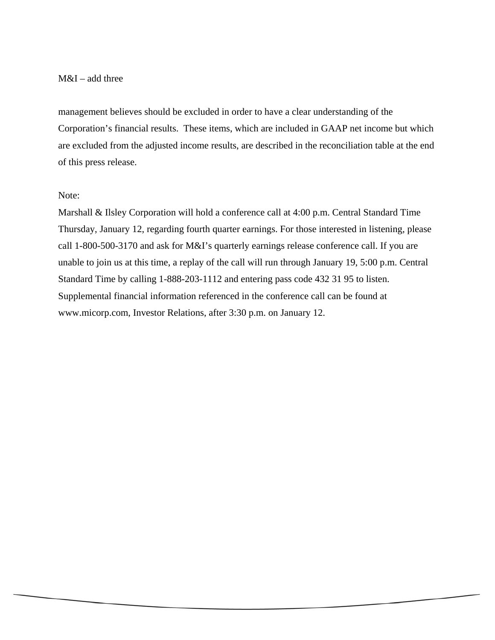# M&I – add three

management believes should be excluded in order to have a clear understanding of the Corporation's financial results. These items, which are included in GAAP net income but which are excluded from the adjusted income results, are described in the reconciliation table at the end of this press release.

# Note:

Marshall & Ilsley Corporation will hold a conference call at 4:00 p.m. Central Standard Time Thursday, January 12, regarding fourth quarter earnings. For those interested in listening, please call 1-800-500-3170 and ask for M&I's quarterly earnings release conference call. If you are unable to join us at this time, a replay of the call will run through January 19, 5:00 p.m. Central Standard Time by calling 1-888-203-1112 and entering pass code 432 31 95 to listen. Supplemental financial information referenced in the conference call can be found at www.micorp.com, Investor Relations, after 3:30 p.m. on January 12.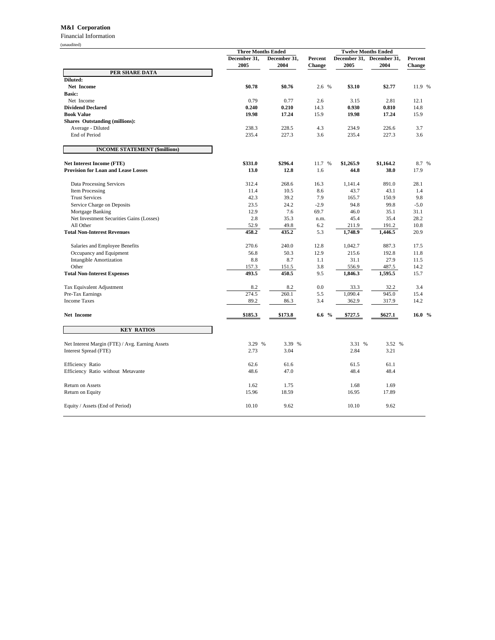#### **M&I Corporation**

Financial Information (unaudited)

|                                                 | <b>Three Months Ended</b> |                      |                          | <b>Twelve Months Ended</b> |                      |                   |
|-------------------------------------------------|---------------------------|----------------------|--------------------------|----------------------------|----------------------|-------------------|
|                                                 | December 31,<br>2005      | December 31,<br>2004 | Percent<br><b>Change</b> | December 31,<br>2005       | December 31,<br>2004 | Percent<br>Change |
| PER SHARE DATA                                  |                           |                      |                          |                            |                      |                   |
| Diluted:                                        |                           |                      |                          |                            |                      |                   |
| Net Income                                      | \$0.78                    | \$0.76               | 2.6 %                    | \$3.10                     | \$2.77               | 11.9 %            |
| <b>Basic:</b>                                   |                           |                      |                          |                            |                      |                   |
| Net Income                                      | 0.79                      | 0.77                 | 2.6                      | 3.15                       | 2.81                 | 12.1              |
| <b>Dividend Declared</b>                        | 0.240                     | 0.210                | 14.3                     | 0.930                      | 0.810                | 14.8              |
| <b>Book Value</b>                               | 19.98                     | 17.24                | 15.9                     | 19.98                      | 17.24                | 15.9              |
| <b>Shares Outstanding (millions):</b>           |                           |                      |                          |                            |                      |                   |
| Average - Diluted                               | 238.3                     | 228.5                | 4.3                      | 234.9                      | 226.6                | 3.7               |
| <b>End of Period</b>                            | 235.4                     | 227.3                | 3.6                      | 235.4                      | 227.3                | 3.6               |
| <b>INCOME STATEMENT (\$millions)</b>            |                           |                      |                          |                            |                      |                   |
| <b>Net Interest Income (FTE)</b>                | \$331.0                   | \$296.4              | 11.7 %                   | \$1,265.9                  | \$1,164.2            | 8.7 %             |
| <b>Provision for Loan and Lease Losses</b>      | 13.0                      | 12.8                 | 1.6                      | 44.8                       | 38.0                 | 17.9              |
| Data Processing Services                        | 312.4                     | 268.6                | 16.3                     | 1,141.4                    | 891.0                | 28.1              |
| Item Processing                                 | 11.4                      | 10.5                 | 8.6                      | 43.7                       | 43.1                 | 1.4               |
| <b>Trust Services</b>                           | 42.3                      | 39.2                 | 7.9                      | 165.7                      | 150.9                | 9.8               |
| Service Charge on Deposits                      | 23.5                      | 24.2                 | $-2.9$                   | 94.8                       | 99.8                 | $-5.0$            |
| Mortgage Banking                                | 12.9                      | 7.6                  | 69.7                     | 46.0                       | 35.1                 | 31.1              |
| Net Investment Securities Gains (Losses)        | 2.8                       | 35.3                 | n.m.                     | 45.4                       | 35.4                 | 28.2              |
| All Other                                       | 52.9                      | 49.8                 | 6.2                      | 211.9                      | 191.2                | 10.8              |
| <b>Total Non-Interest Revenues</b>              | 458.2                     | 435.2                | 5.3                      | 1,748.9                    | 1,446.5              | 20.9              |
| Salaries and Employee Benefits                  | 270.6                     | 240.0                | 12.8                     | 1,042.7                    | 887.3                | 17.5              |
| Occupancy and Equipment                         | 56.8                      | 50.3                 | 12.9                     | 215.6                      | 192.8                | 11.8              |
| <b>Intangible Amortization</b>                  | 8.8                       | 8.7                  | 1.1                      | 31.1                       | 27.9                 | 11.5              |
| Other                                           | 157.3                     | 151.5                | 3.8                      | 556.9                      | 487.5                | 14.2              |
| <b>Total Non-Interest Expenses</b>              | 493.5                     | 450.5                | 9.5                      | 1,846.3                    | 1,595.5              | 15.7              |
| Tax Equivalent Adjustment                       | 8.2                       | 8.2                  | 0.0                      | 33.3                       | 32.2                 | 3.4               |
| Pre-Tax Earnings                                | 274.5                     | 260.1                | 5.5                      | 1,090.4                    | 945.0                | 15.4              |
| <b>Income Taxes</b>                             | 89.2                      | 86.3                 | 3.4                      | 362.9                      | 317.9                | 14.2              |
| <b>Net Income</b>                               | \$185.3                   | \$173.8              | $\frac{0}{0}$<br>6.6     | \$727.5                    | \$627.1              | 16.0%             |
| <b>KEY RATIOS</b>                               |                           |                      |                          |                            |                      |                   |
| Net Interest Margin (FTE) / Avg. Earning Assets | 3.29 %                    | 3.39 %               |                          | 3.31 %                     | 3.52 %               |                   |
| Interest Spread (FTE)                           | 2.73                      | 3.04                 |                          | 2.84                       | 3.21                 |                   |
| Efficiency Ratio                                | 62.6                      | 61.6                 |                          | 61.5                       | 61.1                 |                   |
| Efficiency Ratio without Metavante              | 48.6                      | 47.0                 |                          | 48.4                       | 48.4                 |                   |
| Return on Assets                                | 1.62                      | 1.75                 |                          | 1.68                       | 1.69                 |                   |
| Return on Equity                                | 15.96                     | 18.59                |                          | 16.95                      | 17.89                |                   |
| Equity / Assets (End of Period)                 | 10.10                     | 9.62                 |                          | 10.10                      | 9.62                 |                   |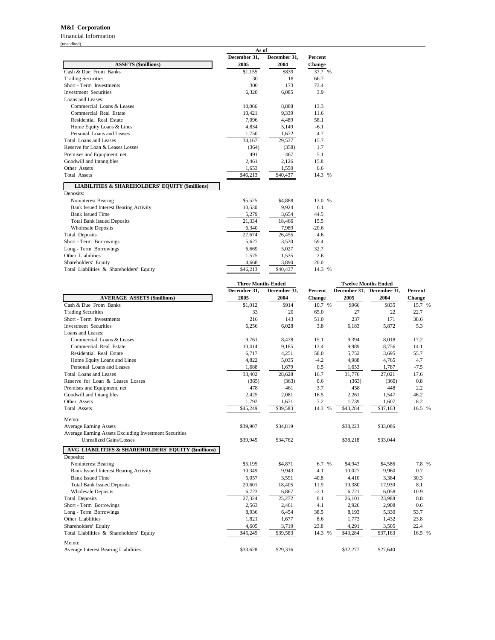### **M&I Corporation**

Financial Information (unaudited)

|                                                            | As of        |              |               |  |
|------------------------------------------------------------|--------------|--------------|---------------|--|
|                                                            | December 31, | December 31, | Percent       |  |
| <b>ASSETS (\$millions)</b>                                 | 2005         | 2004         | <b>Change</b> |  |
| Cash & Due From Banks                                      | \$1,155      | \$839        | 37.7 %        |  |
| <b>Trading Securities</b>                                  | 30           | 18           | 66.7          |  |
| Short - Term Investments                                   | 300          | 173          | 73.4          |  |
| <b>Investment Securities</b>                               | 6,320        | 6,085        | 3.9           |  |
| Loans and Leases:                                          |              |              |               |  |
| Commercial Loans & Leases                                  | 10,066       | 8,888        | 13.3          |  |
| Commercial Real Estate                                     | 10,421       | 9,339        | 11.6          |  |
| Residential Real Estate                                    | 7,096        | 4,489        | 58.1          |  |
| Home Equity Loans & Lines                                  | 4.834        | 5.149        | $-6.1$        |  |
| Personal Loans and Leases                                  | 1,750        | 1,672        | 4.7           |  |
| Total Loans and Leases                                     | 34,167       | 29,537       | 15.7          |  |
| Reserve for Loan & Leases Losses                           | (364)        | (358)        | 1.7           |  |
| Premises and Equipment, net                                | 491          | 467          | 5.1           |  |
| Goodwill and Intangibles                                   | 2,461        | 2,126        | 15.8          |  |
| Other Assets                                               | 1,653        | 1,550        | 6.6           |  |
| <b>Total Assets</b>                                        | \$46,213     | \$40,437     | 14.3 %        |  |
| <b>LIABILITIES &amp; SHAREHOLDERS' EQUITY (\$millions)</b> |              |              |               |  |
| Deposits:                                                  |              |              |               |  |
| Noninterest Bearing                                        | \$5,525      | \$4,888      | 13.0 %        |  |
| <b>Bank Issued Interest Bearing Activity</b>               | 10,530       | 9,924        | 6.1           |  |
| <b>Bank Issued Time</b>                                    | 5.279        | 3.654        | 44.5          |  |
| <b>Total Bank Issued Deposits</b>                          | 21,334       | 18,466       | 15.5          |  |
| <b>Wholesale Deposits</b>                                  | 6.340        | 7,989        | $-20.6$       |  |
| <b>Total Deposits</b>                                      | 27,674       | 26,455       | 4.6           |  |
| Short - Term Borrowings                                    | 5.627        | 3.530        | 59.4          |  |
| Long - Term Borrowings                                     | 6,669        | 5,027        | 32.7          |  |
| Other Liabilities                                          | 1,575        | 1,535        | 2.6           |  |
| Shareholders' Equity                                       | 4,668        | 3,890        | 20.0          |  |
| Total Liabilities & Shareholders' Equity                   | \$46,213     | \$40,437     | 14.3 %        |  |

|                                                        | <b>Three Months Ended</b> |              |         | <b>Twelve Months Ended</b> |                           |         |
|--------------------------------------------------------|---------------------------|--------------|---------|----------------------------|---------------------------|---------|
|                                                        | December 31,              | December 31, | Percent |                            | December 31, December 31, | Percent |
| <b>AVERAGE ASSETS (\$millions)</b>                     | 2005                      | 2004         | Change  | 2005                       | 2004                      | Change  |
| Cash & Due From Banks                                  | \$1,012                   | \$914        | 10.7 %  | \$966                      | \$835                     | 15.7 %  |
| <b>Trading Securities</b>                              | 33                        | 20           | 65.0    | 27                         | 22                        | 22.7    |
| Short - Term Investments                               | 216                       | 143          | 51.0    | 237                        | 171                       | 38.6    |
| <b>Investment Securities</b>                           | 6,256                     | 6,028        | 3.8     | 6,183                      | 5,872                     | 5.3     |
| Loans and Leases:                                      |                           |              |         |                            |                           |         |
| Commercial Loans & Leases                              | 9,761                     | 8,478        | 15.1    | 9,394                      | 8,018                     | 17.2    |
| Commercial Real Estate                                 | 10,414                    | 9,185        | 13.4    | 9,989                      | 8,756                     | 14.1    |
| Residential Real Estate                                | 6,717                     | 4,251        | 58.0    | 5,752                      | 3,695                     | 55.7    |
| Home Equity Loans and Lines                            | 4,822                     | 5,035        | $-4.2$  | 4,988                      | 4,765                     | 4.7     |
| Personal Loans and Leases                              | 1,688                     | 1,679        | 0.5     | 1,653                      | 1,787                     | $-7.5$  |
| <b>Total Loans and Leases</b>                          | 33,402                    | 28,628       | 16.7    | 31,776                     | 27,021                    | 17.6    |
| Reserve for Loan & Leases Losses                       | (365)                     | (363)        | 0.6     | (363)                      | (360)                     | 0.8     |
| Premises and Equipment, net                            | 478                       | 461          | 3.7     | 458                        | 448                       | 2.2     |
| Goodwill and Intangibles                               | 2,425                     | 2,081        | 16.5    | 2,261                      | 1,547                     | 46.2    |
| Other Assets                                           | 1,792                     | 1,671        | 7.2     | 1,739                      | 1,607                     | 8.2     |
| <b>Total Assets</b>                                    | \$45,249                  | \$39,583     | 14.3 %  | \$43,284                   | \$37,163                  | 16.5 %  |
| Memo:                                                  |                           |              |         |                            |                           |         |
| <b>Average Earning Assets</b>                          | \$39,907                  | \$34,819     |         | \$38,223                   | \$33,086                  |         |
| Average Earning Assets Excluding Investment Securities |                           |              |         |                            |                           |         |
| Unrealized Gains/Losses                                | \$39,945                  | \$34,762     |         | \$38,218                   | \$33,044                  |         |
| AVG LIABILITIES & SHAREHOLDERS' EQUITY (\$millions)    |                           |              |         |                            |                           |         |
| Deposits:                                              |                           |              |         |                            |                           |         |
| Noninterest Bearing                                    | \$5,195                   | \$4,871      | 6.7 %   | \$4,943                    | \$4,586                   | 7.8 %   |
| <b>Bank Issued Interest Bearing Activity</b>           | 10,349                    | 9,943        | 4.1     | 10,027                     | 9,960                     | 0.7     |
| <b>Bank Issued Time</b>                                | 5,057                     | 3,591        | 40.8    | 4,410                      | 3,384                     | 30.3    |
| <b>Total Bank Issued Deposits</b>                      | 20,601                    | 18,405       | 11.9    | 19,380                     | 17,930                    | 8.1     |
| <b>Wholesale Deposits</b>                              | 6,723                     | 6,867        | $-2.1$  | 6,721                      | 6,058                     | 10.9    |
| <b>Total Deposits</b>                                  | 27,324                    | 25,272       | 8.1     | 26,101                     | 23,988                    | 8.8     |
| Short - Term Borrowings                                | 2,563                     | 2,461        | 4.1     | 2,926                      | 2,908                     | 0.6     |
| Long - Term Borrowings                                 | 8,936                     | 6,454        | 38.5    | 8,193                      | 5,330                     | 53.7    |
| Other Liabilities                                      | 1,821                     | 1,677        | 8.6     | 1,773                      | 1,432                     | 23.8    |
| Shareholders' Equity                                   | 4,605                     | 3,719        | 23.8    | 4,291                      | 3,505                     | 22.4    |
| Total Liabilities & Shareholders' Equity               | \$45,249                  | \$39,583     | 14.3 %  | \$43,284                   | \$37,163                  | 16.5 %  |
| Memo:                                                  |                           |              |         |                            |                           |         |
| Average Interest Bearing Liabilities                   | \$33,628                  | \$29,316     |         | \$32,277                   | \$27,640                  |         |